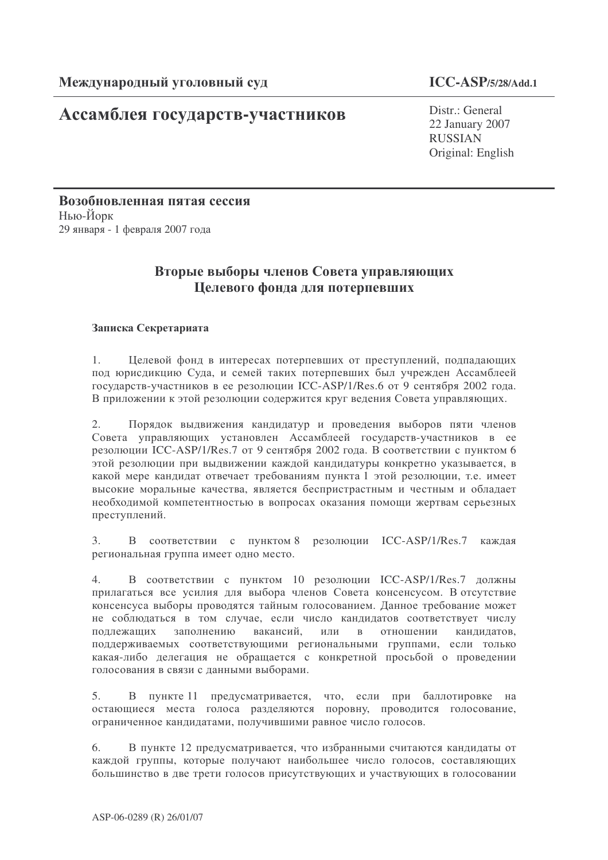# Ассамблея государств-участников

Distr.: General 22 January 2007 RUSSIAN Original: English

Возобновленная пятая сессия Нью-Йорк 29 января - 1 февраля 2007 года

# Вторые выборы членов Совета управляющих Целевого фонда для потерпевших

# Записка Секретариата

1. Целевой фонд в интересах потерпевших от преступлений, подпадающих под юрисдикцию Суда, и семей таких потерпевших был учрежден Ассамблеей государств-участников в ее резолюции ICC-ASP/1/Res.6 от 9 сентября 2002 года. В приложении к этой резолюции содержится круг ведения Совета управляющих.

2. Порядок выдвижения кандидатур и проведения выборов пяти членов Совета управляющих установлен Ассамблеей государств-участников в ее резолюции ICC-ASP/1/Res.7 от 9 сентября 2002 года. В соответствии с пунктом 6 этой резолюции при выдвижении каждой кандидатуры конкретно указывается, в какой мере кандидат отвечает требованиям пункта 1 этой резолюции, т.е. имеет высокие моральные качества, является беспристрастным и честным и обладает необходимой компетентностью в вопросах оказания помощи жертвам серьезных преступлений.

3. В соответствии с пунктом 8 резолюции ICC-ASP/1/Res.7 каждая региональная группа имеет одно место.

4. В соответствии с пунктом 10 резолюции ICC-ASP/1/Res.7 должны прилагаться все усилия для выбора членов Совета консенсусом. В отсутствие консенсуса выборы проводятся тайным голосованием. Данное требование может не соблюдаться в том случае, если число кандидатов соответствует числу подлежащих заполнению вакансий, или в отношении кандидатов, поддерживаемых соответствующими региональными группами, если только какая-либо делегация не обращается с конкретной просьбой о проведении голосования в связи с данными выборами.

5. В пункте 11 предусматривается, что, если при баллотировке на остающиеся места голоса разделяются поровну, проводится голосование, ограниченное кандидатами, получившими равное число голосов.

6. В пункте 12 предусматривается, что избранными считаются кандидаты от каждой группы, которые получают наибольшее число голосов, составляющих большинство в две трети голосов присутствующих и участвующих в голосовании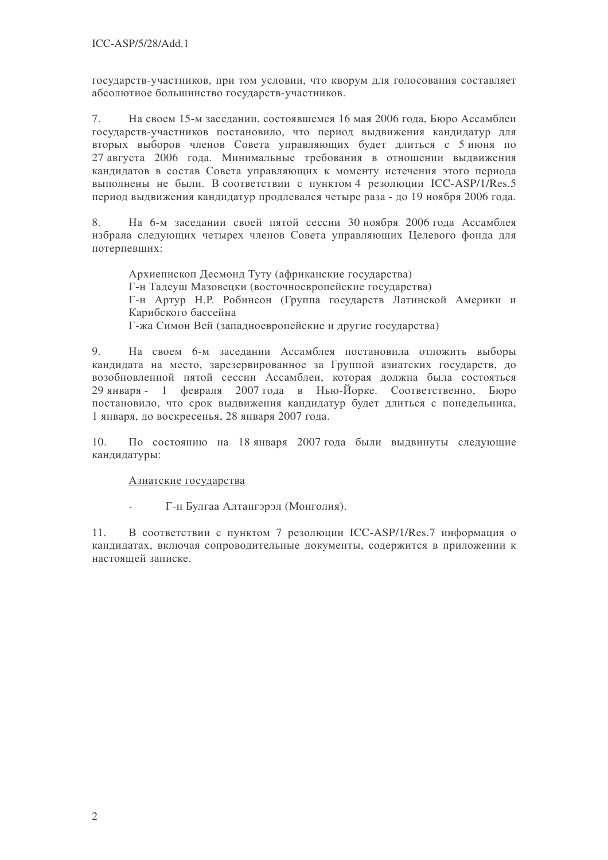государств-участников, при том условии, что кворум для голосования составляет абсолютное большинство государств-участников.

 $7.$ На своем 15-м заседании, состоявшемся 16 мая 2006 года, Бюро Ассамблеи государств-участников постановило, что период выдвижения кандидатур для вторых выборов членов Совета управляющих будет длиться с 5 июня по 27 августа 2006 года. Минимальные требования в отношении выдвижения кандидатов в состав Совета управляющих к моменту истечения этого периода выполнены не были. В соответствии с пунктом 4 резолюции ICC-ASP/1/Res.5 период выдвижения кандидатур продлевался четыре раза - до 19 ноября 2006 года.

8. На 6-м заседании своей пятой сессии 30 ноября 2006 года Ассамблея избрала следующих четырех членов Совета управляющих Целевого фонда для потерпевших:

Архиепископ Десмонд Туту (африканские государства) Г-н Талеуш Мазовецки (восточноевропейские государства) Г-н Артур Н.Р. Робинсон (Группа государств Латинской Америки и Карибского бассейна Г-жа Симон Вей (западноевропейские и другие государства)

9. На своем 6-м заседании Ассамблея постановила отложить выборы кандидата на место, зарезервированное за Группой азиатских государств, до возобновленной пятой сессии Ассамблеи, которая должна была состояться 29 января - 1 февраля 2007 года в Нью-Йорке. Соответственно, Бюро постановило, что срок выдвижения кандидатур будет длиться с понедельника, 1 января, до воскресенья, 28 января 2007 года.

 $10.$ По состоянию на 18 января 2007 года были выдвинуты следующие кандидатуры:

# Азиатские государства

Г-н Булгаа Алтангэрэл (Монголия).

 $11.$ В соответствии с пунктом 7 резолюции ICC-ASP/1/Res.7 информация о кандидатах, включая сопроводительные документы, содержится в приложении к настоящей записке.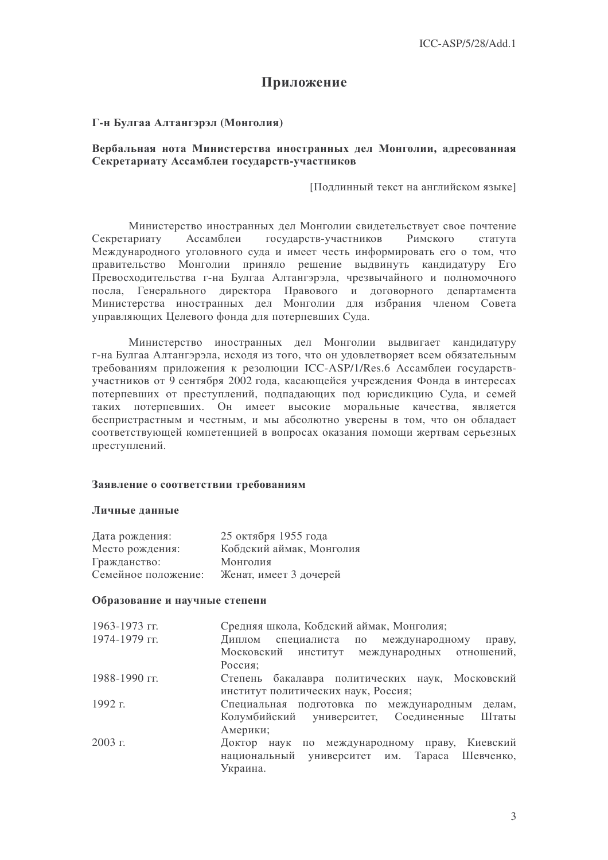# Приложение

### Г-н Булгаа Алтангэрэл (Монголия)

#### Вербальная нота Министерства иностранных дел Монголии, адресованная Секретариату Ассамблеи государств-участников

Подлинный текст на английском языке]

Министерство иностранных дел Монголии свидетельствует свое почтение Секретариату Ассамблеи государств-участников Римского статута Международного уголовного суда и имеет честь информировать его о том, что правительство Монголии приняло решение выдвинуть кандидатуру Его Превосходительства г-на Булгаа Алтангэрэла, чрезвычайного и полномочного посла, Генерального директора Правового и договорного департамента Министерства иностранных дел Монголии для избрания членом Совета управляющих Целевого фонда для потерпевших Суда.

Министерство иностранных дел Монголии выдвигает кандидатуру г-на Булгаа Алтангэрэла, исхоля из того, что он уловлетворяет всем обязательным требованиям приложения к резолюции ICC-ASP/1/Res.6 Ассамблеи государствучастников от 9 сентября 2002 года, касающейся учреждения Фонда в интересах потерпевших от преступлений, подпадающих под юрисдикцию Суда, и семей таких потерпевших. Он имеет высокие моральные качества, является беспристрастным и честным, и мы абсолютно уверены в том, что он обладает соответствующей компетенцией в вопросах оказания помощи жертвам серьезных преступлений.

#### Заявление о соответствии требованиям

#### Личные ланные

| Дата рождения:      | 25 октября 1955 года     |
|---------------------|--------------------------|
| Место рождения:     | Кобдский аймак, Монголия |
| Гражданство:        | Монголия                 |
| Семейное положение: | Женат, имеет 3 дочерей   |

#### Образование и научные степени

| $1963 - 1973$ FF. | Средняя школа, Кобдский аймак, Монголия;            |
|-------------------|-----------------------------------------------------|
| 1974-1979 гг.     | Диплом<br>специалиста по международному<br>праву,   |
|                   | Московский институт международных отношений,        |
|                   | Россия;                                             |
| 1988-1990 гг.     | Степень бакалавра политических наук, Московский     |
|                   | институт политических наук, Россия;                 |
| 1992 г.           | Специальная подготовка по международным<br>делам,   |
|                   | Колумбийский университет, Соединенные Штаты         |
|                   | Америки;                                            |
| $2003$ г.         | Киевский<br>Доктор наук<br>по международному праву, |
|                   | национальный университет им. Тараса Шевченко,       |
|                   | Украина.                                            |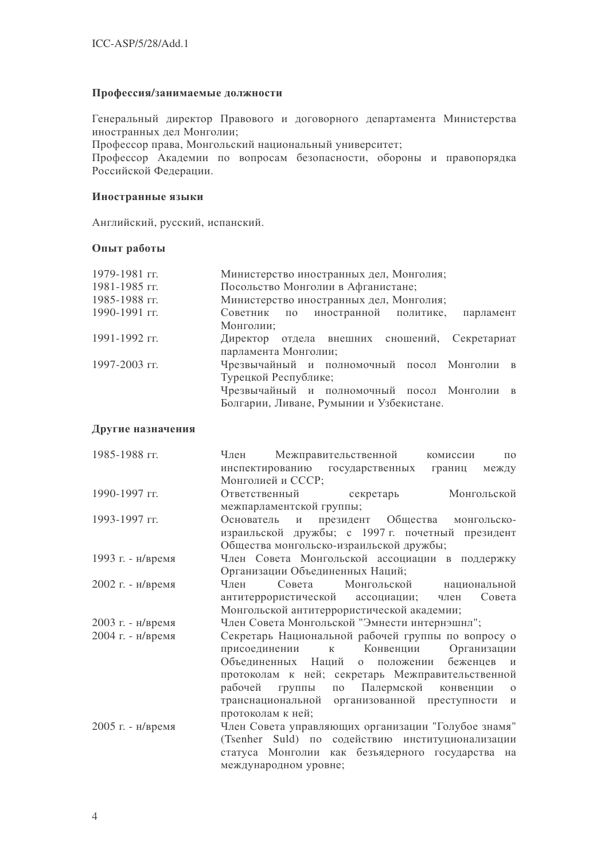#### Профессия/занимаемые должности

Генеральный директор Правового и договорного департамента Министерства иностранных дел Монголии;

Профессор права, Монгольский национальный университет;

Профессор Академии по вопросам безопасности, обороны и правопорядка Российской Федерации.

#### Иностранные языки

Английский, русский, испанский.

### Опыт работы

| Министерство иностранных дел, Монголия;        |
|------------------------------------------------|
| Посольство Монголии в Афганистане;             |
| Министерство иностранных дел, Монголия;        |
| Советник по иностранной политике,<br>парламент |
| Монголии;                                      |
| Директор отдела внешних сношений, Секретариат  |
| парламента Монголии;                           |
| Чрезвычайный и полномочный посол Монголии в    |
| Турецкой Республике;                           |
| Чрезвычайный и полномочный посол Монголии в    |
| Болгарии, Ливане, Румынии и Узбекистане.       |
|                                                |

#### Другие назначения

| 1985-1988 гг.     | Межправительственной<br>Член<br>комиссии<br>$\Pi$ <sup>O</sup> |
|-------------------|----------------------------------------------------------------|
|                   | инспектированию государственных<br>границ<br>между             |
|                   | Монголией и СССР;                                              |
| 1990-1997 гг.     | Монгольской<br>Ответственный<br>секретарь                      |
|                   | межпарламентской группы;                                       |
| 1993-1997 гг.     | Основатель<br>президент Общества монгольско-<br>И              |
|                   | израильской дружбы; с 1997 г. почетный президент               |
|                   | Общества монгольско-израильской дружбы;                        |
| 1993 г. - н/время | Член Совета Монгольской ассоциации в поддержку                 |
|                   | Организации Объединенных Наций;                                |
| 2002 г. - н/время | Совета Монгольской<br>Член<br>национальной                     |
|                   | Совета<br>антитеррористической ассоциации; член                |
|                   | Монгольской антитеррористической академии;                     |
| 2003 г. - н/время | Член Совета Монгольской "Эмнести интернэшнл";                  |
| 2004 г. - н/время | Секретарь Национальной рабочей группы по вопросу о             |
|                   | Конвенции<br>Организации<br>присоединении<br>$\mathbf K$       |
|                   | Объединенных Наций о положении<br>беженцев<br>И                |
|                   | протоколам к ней; секретарь Межправительственной               |
|                   | по Палермской конвенции<br>рабочей группы<br>$\Omega$          |
|                   | транснациональной организованной преступности<br>И             |
|                   | протоколам к ней;                                              |
| 2005 г. - н/время | Член Совета управляющих организации "Голубое знамя"            |
|                   | (Tsenher Suld) по содействию институционализации               |
|                   | статуса Монголии как безъядерного государства на               |
|                   | международном уровне;                                          |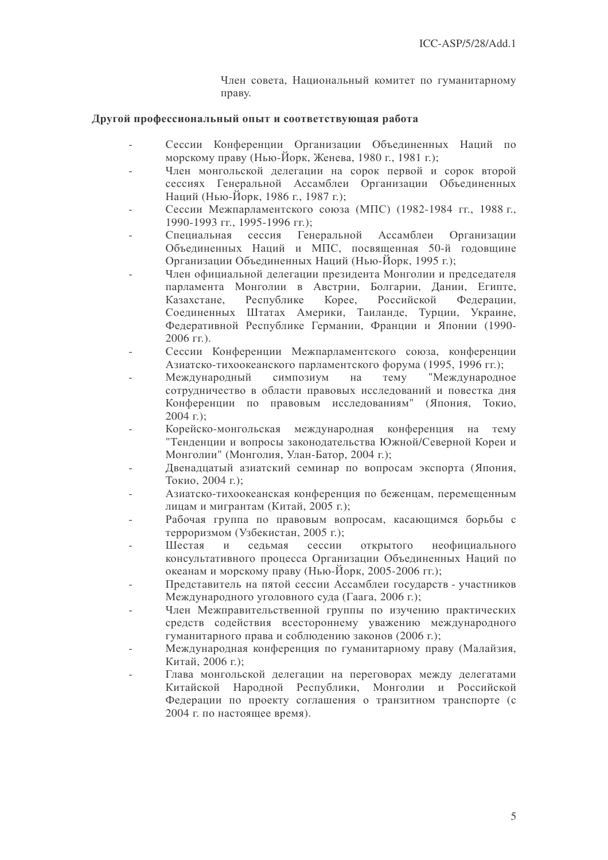Член совета, Национальный комитет по гуманитарному праву.

#### Другой профессиональный опыт и соответствующая работа

- Сессии Конференции Организации Объединенных Наций по морскому праву (Нью-Йорк, Женева, 1980 г., 1981 г.);
- Член монгольской делегации на сорок первой и сорок второй сессиях Генеральной Ассамблеи Организации Объединенных Наций (Нью-Йорк, 1986 г., 1987 г.);
- Сессии Межпарламентского союза (МПС) (1982-1984 гг., 1988 г., 1990-1993 гг., 1995-1996 гг.);
- Специальная сессия Генеральной Ассамблеи Организации Объединенных Наций и МПС, посвященная 50-й годовщине Организации Объединенных Наций (Нью-Йорк, 1995 г.);
- Член официальной делегации президента Монголии и председателя парламента Монголии в Австрии, Болгарии, Лании, Египте, Республике Kopee. Российской Казахстане. Федерации. Соединенных Штатах Америки, Таиланде, Турции, Украине, Федеративной Республике Германии, Франции и Японии (1990- $2006$  FF.).
- Сессии Конференции Межпарламентского союза, конференции Азиатско-тихоокеанского парламентского форума (1995, 1996 гг.);
- "Международное Международный симпозиум Temy на сотрудничество в области правовых исследований и повестка дня Конференции по правовым исследованиям" (Япония, Токио,  $2004$  r.);
- Корейско-монгольская международная конференция на тему "Тенденции и вопросы законодательства Южной/Северной Кореи и Монголии" (Монголия, Улан-Батор, 2004 г.);
- Двенадцатый азиатский семинар по вопросам экспорта (Япония, Токио. 2004 г.):
- Азиатско-тихоокеанская конференция по беженцам, перемещенным лицам и мигрантам (Китай, 2005 г.);
- Рабочая группа по правовым вопросам, касающимся борьбы с терроризмом (Узбекистан, 2005 г.);
- сессии ОТКРЫТОГО Шестая  $\mathbf{M}$ сельмая неофициального консультативного процесса Организации Объединенных Наций по океанам и морскому праву (Нью-Йорк, 2005-2006 гг.);
- Представитель на пятой сессии Ассамблеи государств участников Международного уголовного суда (Гаага, 2006 г.);
- Член Межправительственной группы по изучению практических средств содействия всестороннему уважению международного гуманитарного права и соблюдению законов (2006 г.);
- Международная конференция по гуманитарному праву (Малайзия, Китай, 2006 г.);
- Глава монгольской делегации на переговорах между делегатами Китайской Народной Республики, Монголии и Российской Федерации по проекту соглашения о транзитном транспорте (с 2004 г. по настоящее время).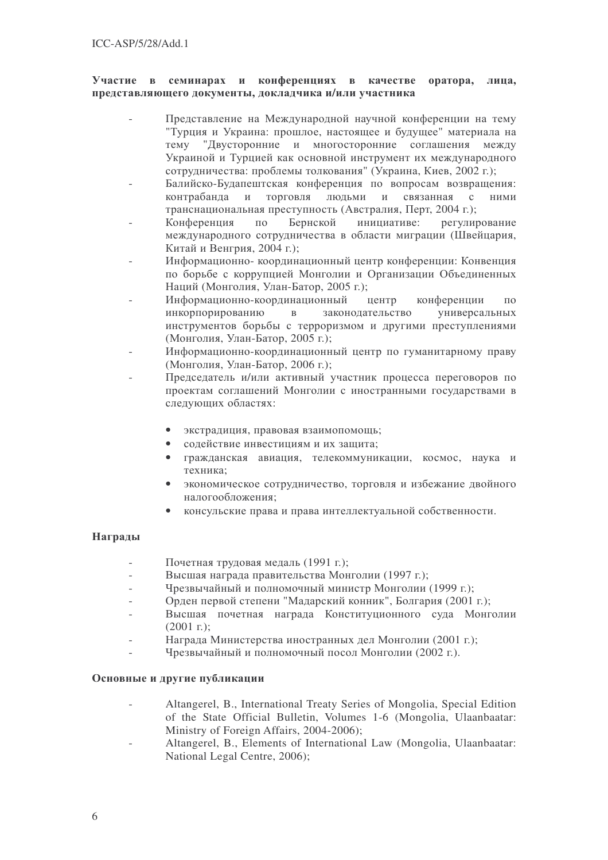#### Участие в се минарах и конференциях в качестве оратора, лица, представляющего документы, докладчика и/или участника

- Представление на Международной научной конференции на тему "Турция и Украина: прошлое, настоящее и будущее" материала на Tem<sub>V</sub> "Двусторонние и многосторонние соглашения между Украиной и Турцией как основной инструмент их международного сотрудничества: проблемы толкования" (Украина, Киев, 2002 г.);
- Балийско-Будапештская конференция по вопросам возвращения: контрабанда и торговля людьми и связанная с ними транснациональная преступность (Австралия, Перт, 2004 г.);
- Конференция по Бернской инициативе: е: регулирование международного сотрудничества в области миграции (Швейцария, Китай и Венгрия, 2004 г.);
- Информационно- координационный центр конференции: Конвенция по борьбе с коррупцией Монголии и Организации Объединенных Наций (Монголия, Улан-Батор, 2005 г.);
- Информационно-координационный центр конференции по инкорпорированию в законодательств о универсальных инструментов борьбы с терроризмом и другими преступлениями (Монголия, Улан-Батор, 2005 г.);
- Информационно-координационный центр по гуманитарному праву (Монголия, Улан-Батор, 2006 г.);
- Председатель и/или активный участник процесса переговоров по проектам соглашений Монголии с иностранными государствами в следующих областях:
	- экстрадиция, правовая взаимопомощь;
	- содействие инвестициям и их защита;
	- гражданская авиация, телекоммуникации, космос, наука и техника:
	- экономическое сотрудничество, торговля и избежание двойного налогообложения;
	- консульские права и права интеллектуальной собственности.

# Награды

- Почетная трудовая медаль (1991 г.);
- Высшая награда правительства Монголии (1997 г.);
- Чрезвычайный и полномочный министр Монголии (1999 г.);
- Орден первой степени "Мадарский конник", Болгария (2001 г.);
- Высшая почетная награда Конституционного суда Монголии  $(2001 \text{ r.})$ ;
- Награда Министерства иностранных дел Монголии (2001 г.);
- Чрезвычайный и полномочный посол Монголии (2002 г.).

### Основные и другие публикации

- Altangerel, B., International Treaty Series of Mongolia, Special Edition of the State Official Bulletin, Volumes 1-6 (Mongolia, Ulaanbaatar: Ministry of Foreign Affairs, 2004-2006);
- Altangerel, B., Elements of International Law (Mongolia, Ulaanbaatar: National Legal Centre, 2006);